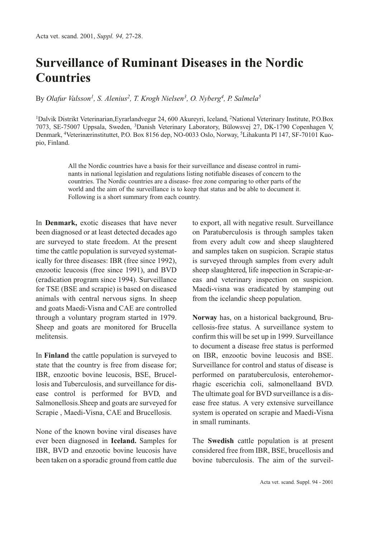## **Surveillance of Ruminant Diseases in the Nordic Countries**

By Olafur Valsson<sup>1</sup>, S. Alenius<sup>2</sup>, T. Krogh Nielsen<sup>3</sup>, O. Nyberg<sup>4</sup>, P. Salmela<sup>5</sup>

1Dalvik Distrikt Veterinarian,Eyrarlandvegur 24, 600 Akureyri, Iceland, 2National Veterinary Institute, P.O.Box 7073, SE-75007 Uppsala, Sweden, 3Danish Veterinary Laboratory, Bülowsvej 27, DK-1790 Copenhagen V, Denmark, 4Veterinærinstituttet, P.O. Box 8156 dep, NO-0033 Oslo, Norway, 5Lihakunta Pl 147, SF-70101 Kuopio, Finland.

> All the Nordic countries have a basis for their surveillance and disease control in ruminants in national legislation and regulations listing notifiable diseases of concern to the countries. The Nordic countries are a disease- free zone comparing to other parts of the world and the aim of the surveillance is to keep that status and be able to document it. Following is a short summary from each country.

In **Denmark,** exotic diseases that have never been diagnosed or at least detected decades ago are surveyed to state freedom. At the present time the cattle population is surveyed systematically for three diseases: IBR (free since 1992), enzootic leucosis (free since 1991), and BVD (eradication program since 1994). Surveillance for TSE (BSE and scrapie) is based on diseased animals with central nervous signs. In sheep and goats Maedi-Visna and CAE are controlled through a voluntary program started in 1979. Sheep and goats are monitored for Brucella melitensis.

In **Finland** the cattle population is surveyed to state that the country is free from disease for; IBR, enzootic bovine leucosis, BSE, Brucellosis and Tuberculosis, and surveillance for disease control is performed for BVD, and Salmonellosis.Sheep and goats are surveyed for Scrapie , Maedi-Visna, CAE and Brucellosis.

None of the known bovine viral diseases have ever been diagnosed in **Iceland.** Samples for IBR, BVD and enzootic bovine leucosis have been taken on a sporadic ground from cattle due to export, all with negative result. Surveillance on Paratuberculosis is through samples taken from every adult cow and sheep slaughtered and samples taken on suspicion. Scrapie status is surveyed through samples from every adult sheep slaughtered, life inspection in Scrapie-areas and veterinary inspection on suspicion. Maedi-visna was eradicated by stamping out from the icelandic sheep population.

**Norway** has, on a historical background, Brucellosis-free status. A surveillance system to confirm this will be set up in 1999. Surveillance to document a disease free status is performed on IBR, enzootic bovine leucosis and BSE. Surveillance for control and status of disease is performed on paratuberculosis, enterohemorrhagic escerichia coli, salmonellaand BVD. The ultimate goal for BVD surveillance is a disease free status. A very extensive surveillance system is operated on scrapie and Maedi-Visna in small ruminants.

The **Swedish** cattle population is at present considered free from IBR, BSE, brucellosis and bovine tuberculosis. The aim of the surveil